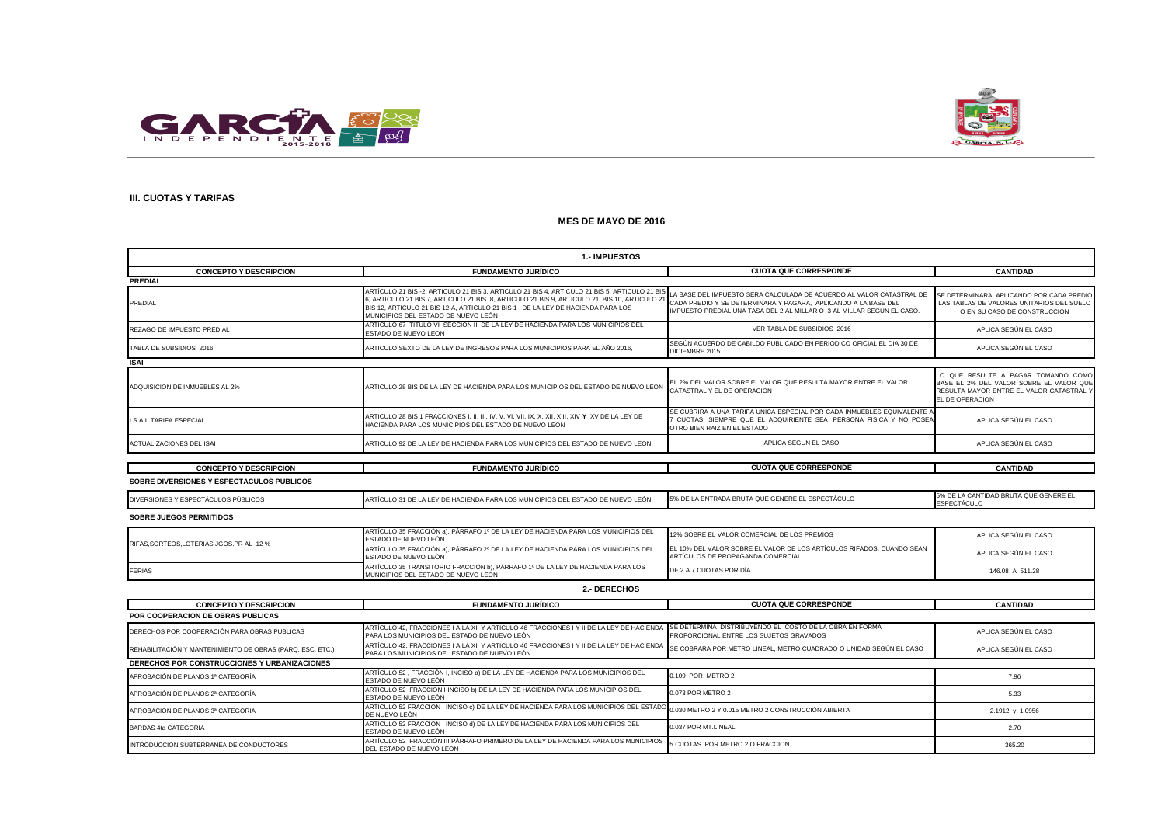



# **III. CUOTAS Y TARIFAS**

| <b>1.-IMPUESTOS</b>                                       |                                                                                                                                                                                                                                                                                                                      |                                                                                                                                                                                                                  |                                                                                                                                               |  |
|-----------------------------------------------------------|----------------------------------------------------------------------------------------------------------------------------------------------------------------------------------------------------------------------------------------------------------------------------------------------------------------------|------------------------------------------------------------------------------------------------------------------------------------------------------------------------------------------------------------------|-----------------------------------------------------------------------------------------------------------------------------------------------|--|
| <b>CONCEPTO Y DESCRIPCION</b>                             | <b>FUNDAMENTO JURÍDICO</b>                                                                                                                                                                                                                                                                                           | <b>CUOTA QUE CORRESPONDE</b>                                                                                                                                                                                     | <b>CANTIDAD</b>                                                                                                                               |  |
| <b>PREDIAL</b>                                            |                                                                                                                                                                                                                                                                                                                      |                                                                                                                                                                                                                  |                                                                                                                                               |  |
| PREDIAL                                                   | ARTÍCULO 21 BIS -2. ARTICULO 21 BIS 3, ARTICULO 21 BIS 4, ARTICULO 21 BIS 5, ARTICULO 21 BIS<br>6, ARTICULO 21 BIS 7, ARTICULO 21 BIS 8, ARTICULO 21 BIS 9, ARTICULO 21, BIS 10, ARTICULO 2<br>BIS 12, ARTICULO 21 BIS 12-A, ARTICULO 21 BIS 1 DE LA LEY DE HACIENDA PARA LOS<br>MUNICIPIOS DEL ESTADO DE NUEVO LEÓN | LA BASE DEL IMPUESTO SERA CALCULADA DE ACUERDO AL VALOR CATASTRAL DE<br>CADA PREDIO Y SE DETERMINARA Y PAGARA, APLICANDO A LA BASE DEL<br>IMPUESTO PREDIAL UNA TASA DEL 2 AL MILLAR Ó 3 AL MILLAR SEGÚN EL CASO. | SE DETERMINARA APLICANDO POR CADA PREDIC<br>LAS TABLAS DE VALORES UNITARIOS DEL SUELO<br>O EN SU CASO DE CONSTRUCCION                         |  |
| REZAGO DE IMPUESTO PREDIAL                                | ARTICULO 67 TITULO VI SECCION III DE LA LEY DE HACIENDA PARA LOS MUNICIPIOS DEL<br>ESTADO DE NUEVO LEON                                                                                                                                                                                                              | VER TABLA DE SUBSIDIOS 2016                                                                                                                                                                                      | APLICA SEGÚN EL CASO                                                                                                                          |  |
| TABLA DE SUBSIDIOS 2016                                   | ARTICULO SEXTO DE LA LEY DE INGRESOS PARA LOS MUNICIPIOS PARA EL AÑO 2016,                                                                                                                                                                                                                                           | SEGÚN ACUERDO DE CABILDO PUBLICADO EN PERIODICO OFICIAL EL DIA 30 DE<br>DICIEMBRE 2015                                                                                                                           | APLICA SEGÚN EL CASO                                                                                                                          |  |
| <b>ISAI</b>                                               |                                                                                                                                                                                                                                                                                                                      |                                                                                                                                                                                                                  |                                                                                                                                               |  |
| ADQUISICION DE INMUEBLES AL 2%                            | ARTÍCULO 28 BIS DE LA LEY DE HACIENDA PARA LOS MUNICIPIOS DEL ESTADO DE NUEVO LEON                                                                                                                                                                                                                                   | EL 2% DEL VALOR SOBRE EL VALOR QUE RESULTA MAYOR ENTRE EL VALOR<br>CATASTRAL Y EL DE OPERACION                                                                                                                   | LO QUE RESULTE A PAGAR TOMANDO COMO<br>BASE EL 2% DEL VALOR SOBRE EL VALOR QUE<br>RESULTA MAYOR ENTRE EL VALOR CATASTRAL Y<br>EL DE OPERACION |  |
| .S.A.I. TARIFA ESPECIAL                                   | HACIENDA PARA LOS MUNICIPIOS DEL ESTADO DE NUEVO LEON                                                                                                                                                                                                                                                                | SE CUBRIRA A UNA TARIFA UNICA ESPECIAL POR CADA INMUEBLES EQUIVALENTE /<br>7 CUOTAS, SIEMPRE QUE EL ADQUIRIENTE SEA PERSONA FISICA Y NO POSEA<br>OTRO BIEN RAIZ EN EL ESTADO                                     | APLICA SEGÚN EL CASO                                                                                                                          |  |
| ACTUALIZACIONES DEL ISAI                                  | ARTICULO 92 DE LA LEY DE HACIENDA PARA LOS MUNICIPIOS DEL ESTADO DE NUEVO LEON                                                                                                                                                                                                                                       | APLICA SEGÚN EL CASO                                                                                                                                                                                             | APLICA SEGÚN EL CASO                                                                                                                          |  |
|                                                           |                                                                                                                                                                                                                                                                                                                      |                                                                                                                                                                                                                  |                                                                                                                                               |  |
| <b>CONCEPTO Y DESCRIPCION</b>                             | <b>FUNDAMENTO JURÍDICO</b>                                                                                                                                                                                                                                                                                           | <b>CUOTA QUE CORRESPONDE</b>                                                                                                                                                                                     | <b>CANTIDAD</b>                                                                                                                               |  |
| SOBRE DIVERSIONES Y ESPECTACULOS PUBLICOS                 |                                                                                                                                                                                                                                                                                                                      |                                                                                                                                                                                                                  |                                                                                                                                               |  |
| DIVERSIONES Y ESPECTÁCULOS PÚBLICOS                       | ARTÍCULO 31 DE LA LEY DE HACIENDA PARA LOS MUNICIPIOS DEL ESTADO DE NUEVO LEÓN                                                                                                                                                                                                                                       | 5% DE LA ENTRADA BRUTA QUE GENERE EL ESPECTÁCULO                                                                                                                                                                 | 5% DE LA CANTIDAD BRUTA QUE GENERE EL<br>ESPECTÁCULO                                                                                          |  |
| <b>SOBRE JUEGOS PERMITIDOS</b>                            |                                                                                                                                                                                                                                                                                                                      |                                                                                                                                                                                                                  |                                                                                                                                               |  |
| RIFAS, SORTEOS, LOTERIAS JGOS.PR AL 12 %                  | ARTÍCULO 35 FRACCIÓN a), PÁRRAFO 1º DE LA LEY DE HACIENDA PARA LOS MUNICIPIOS DEL<br>ESTADO DE NUEVO LEÓN                                                                                                                                                                                                            | 12% SOBRE EL VALOR COMERCIAL DE LOS PREMIOS                                                                                                                                                                      | APLICA SEGÚN EL CASO                                                                                                                          |  |
|                                                           | ARTÍCULO 35 FRACCIÓN a), PÁRRAFO 2º DE LA LEY DE HACIENDA PARA LOS MUNICIPIOS DEL<br>ESTADO DE NUEVO LEÓN                                                                                                                                                                                                            | EL 10% DEL VALOR SOBRE EL VALOR DE LOS ARTÍCULOS RIFADOS, CUANDO SEAN<br>ARTÍCULOS DE PROPAGANDA COMERCIAL                                                                                                       | APLICA SEGÚN EL CASO                                                                                                                          |  |
| <b>FERIAS</b>                                             | ARTÍCULO 35 TRANSITORIO FRACCIÓN b), PÁRRAFO 1º DE LA LEY DE HACIENDA PARA LOS<br>MUNICIPIOS DEL ESTADO DE NUEVO LEÓN                                                                                                                                                                                                | DE 2 A 7 CUOTAS POR DÍA                                                                                                                                                                                          | 146.08 A 511.28                                                                                                                               |  |
|                                                           | 2.- DERECHOS                                                                                                                                                                                                                                                                                                         |                                                                                                                                                                                                                  |                                                                                                                                               |  |
| <b>CONCEPTO Y DESCRIPCION</b>                             | <b>FUNDAMENTO JURÍDICO</b>                                                                                                                                                                                                                                                                                           | <b>CUOTA QUE CORRESPONDE</b>                                                                                                                                                                                     | <b>CANTIDAD</b>                                                                                                                               |  |
| POR COOPERACION DE OBRAS PUBLICAS                         |                                                                                                                                                                                                                                                                                                                      |                                                                                                                                                                                                                  |                                                                                                                                               |  |
| DERECHOS POR COOPERACIÓN PARA OBRAS PUBLICAS              | ARTÍCULO 42, FRACCIONES I A LA XI, Y ARTICULO 46 FRACCIONES I Y II DE LA LEY DE HACIENDA SE DETERMINA DISTRIBUYENDO EL COSTO DE LA OBRA EN FORMA<br>PARA LOS MUNICIPIOS DEL ESTADO DE NUEVO LEÓN                                                                                                                     | PROPORCIONAL ENTRE LOS SUJETOS GRAVADOS                                                                                                                                                                          | APLICA SEGÚN EL CASO                                                                                                                          |  |
| REHABILITACIÓN Y MANTENIMIENTO DE OBRAS (PARQ. ESC. ETC.) | ARTÍCULO 42, FRACCIONES I A LA XI, Y ARTICULO 46 FRACCIONES I Y II DE LA LEY DE HACIENDA<br>PARA LOS MUNICIPIOS DEL ESTADO DE NUEVO LEÓN                                                                                                                                                                             | SE COBRARA POR METRO LINEAL, METRO CUADRADO O UNIDAD SEGÚN EL CASO                                                                                                                                               | APLICA SEGÚN EL CASO                                                                                                                          |  |
| DERECHOS POR CONSTRUCCIONES Y URBANIZACIONES              |                                                                                                                                                                                                                                                                                                                      |                                                                                                                                                                                                                  |                                                                                                                                               |  |
| APROBACIÓN DE PLANOS 1ª CATEGORÍA                         | ARTÍCULO 52, FRACCIÓN I, INCISO a) DE LA LEY DE HACIENDA PARA LOS MUNICIPIOS DEL<br>ESTADO DE NUEVO LEÓN                                                                                                                                                                                                             | 0.109 POR METRO 2                                                                                                                                                                                                | 7.96                                                                                                                                          |  |
| APROBACIÓN DE PLANOS 2ª CATEGORÍA                         | ARTÍCULO 52 FRACCIÓN I INCISO b) DE LA LEY DE HACIENDA PARA LOS MUNICIPIOS DEL<br>ESTADO DE NUEVO LEÓN                                                                                                                                                                                                               | 0.073 POR METRO 2                                                                                                                                                                                                | 5.33                                                                                                                                          |  |
| APROBACIÓN DE PLANOS 3ª CATEGORÍA                         | ARTÍCULO 52 FRACCION I INCISO c) DE LA LEY DE HACIENDA PARA LOS MUNICIPIOS DEL ESTADO 0.030 METRO 2 Y 0.015 METRO 2 CONSTRUCCIÓN ABIERTA<br>DE NUEVO LEÓN                                                                                                                                                            |                                                                                                                                                                                                                  | 2.1912 y 1.0956                                                                                                                               |  |
| BARDAS 4ta CATEGORÍA                                      | ARTÍCULO 52 FRACCION I INCISO d) DE LA LEY DE HACIENDA PARA LOS MUNICIPIOS DEL<br>ESTADO DE NUEVO LEÓN                                                                                                                                                                                                               | 0.037 POR MT.LINEAL                                                                                                                                                                                              | 2.70                                                                                                                                          |  |
| INTRODUCCIÓN SUBTERRANEA DE CONDUCTORES                   | ARTÍCULO 52 FRACCIÓN III PÁRRAFO PRIMERO DE LA LEY DE HACIENDA PARA LOS MUNICIPIOS<br>DEL ESTADO DE NUEVO LEÓN                                                                                                                                                                                                       | CUOTAS POR METRO 2 O FRACCION                                                                                                                                                                                    | 365.20                                                                                                                                        |  |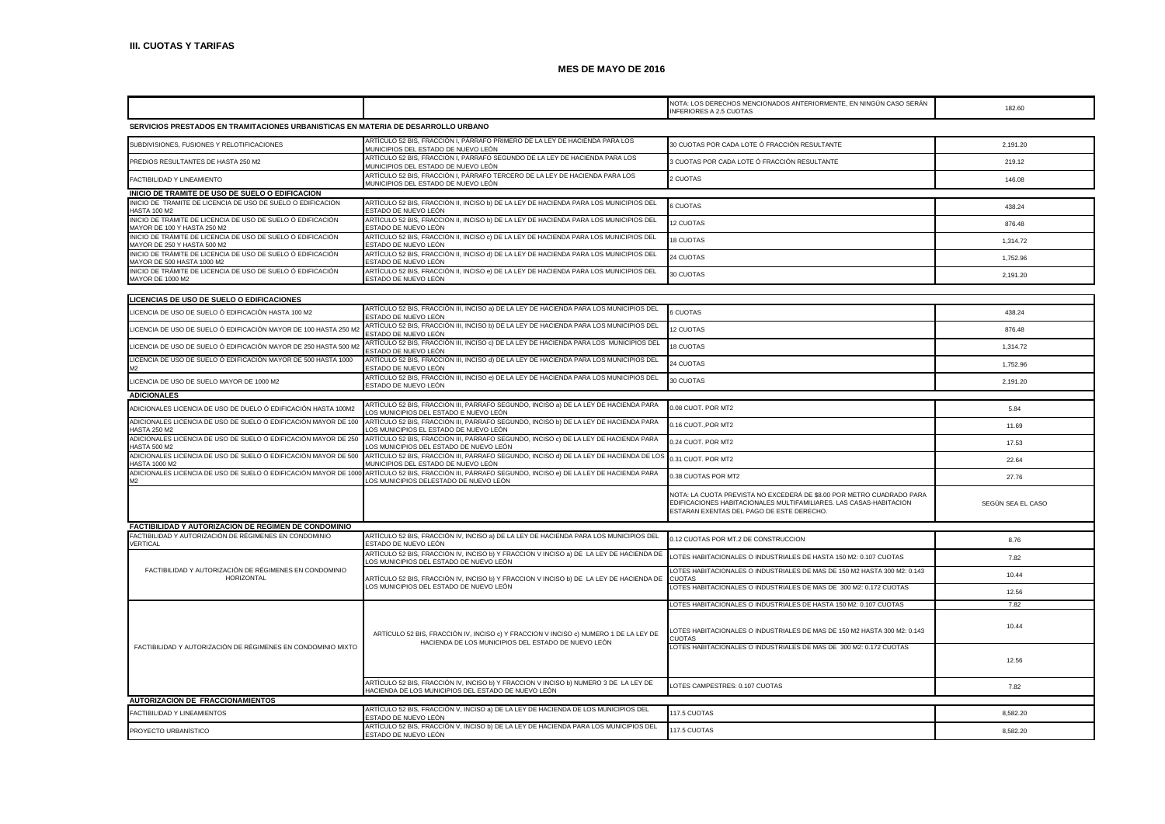|                                                                                            |                                                                                                                                             | NOTA: LOS DERECHOS MENCIONADOS ANTERIORMENTE, EN NINGÚN CASO SERÁN<br><b>INFERIORES A 2.5 CUOTAS</b>                                                                                     | 182.60            |
|--------------------------------------------------------------------------------------------|---------------------------------------------------------------------------------------------------------------------------------------------|------------------------------------------------------------------------------------------------------------------------------------------------------------------------------------------|-------------------|
| SERVICIOS PRESTADOS EN TRAMITACIONES URBANISTICAS EN MATERIA DE DESARROLLO URBANO          |                                                                                                                                             |                                                                                                                                                                                          |                   |
| SUBDIVISIONES, FUSIONES Y RELOTIFICACIONES                                                 | ARTÍCULO 52 BIS, FRACCIÓN I, PÁRRAFO PRIMERO DE LA LEY DE HACIENDA PARA LOS<br>MUNICIPIOS DEL ESTADO DE NUEVO LEÓN                          | 30 CUOTAS POR CADA LOTE Ó FRACCIÓN RESULTANTE                                                                                                                                            | 2,191.20          |
| PREDIOS RESULTANTES DE HASTA 250 M2                                                        | ARTÍCULO 52 BIS, FRACCIÓN I, PÁRRAFO SEGUNDO DE LA LEY DE HACIENDA PARA LOS<br>MUNICIPIOS DEL ESTADO DE NUEVO LEÓN                          | 3 CUOTAS POR CADA LOTE Ó FRACCIÓN RESULTANTE                                                                                                                                             | 219.12            |
| FACTIBILIDAD Y LINEAMIENTO                                                                 | ARTÍCULO 52 BIS, FRACCIÓN I, PÁRRAFO TERCERO DE LA LEY DE HACIENDA PARA LOS<br>MUNICIPIOS DEL ESTADO DE NUEVO LEÓN                          | 2 CUOTAS                                                                                                                                                                                 | 146.08            |
| INICIO DE TRAMITE DE USO DE SUELO O EDIFICACION                                            |                                                                                                                                             |                                                                                                                                                                                          |                   |
| INICIO DE TRAMITE DE LICENCIA DE USO DE SUELO O EDIFICACIÓN<br><b>HASTA 100 M2</b>         | ARTÍCULO 52 BIS, FRACCIÓN II, INCISO b) DE LA LEY DE HACIENDA PARA LOS MUNICIPIOS DEL<br>ESTADO DE NUEVO LEÓN                               | 6 CUOTAS                                                                                                                                                                                 | 438.24            |
| INICIO DE TRÁMITE DE LICENCIA DE USO DE SUELO Ó EDIFICACIÓN<br>MAYOR DE 100 Y HASTA 250 M2 | ARTÍCULO 52 BIS, FRACCIÓN II, INCISO b) DE LA LEY DE HACIENDA PARA LOS MUNICIPIOS DEL<br>ESTADO DE NUEVO LEÓN                               | 12 CUOTAS                                                                                                                                                                                | 876.48            |
| INICIO DE TRÁMITE DE LICENCIA DE USO DE SUELO Ó EDIFICACIÓN<br>MAYOR DE 250 Y HASTA 500 M2 | ARTÍCULO 52 BIS, FRACCIÓN II, INCISO c) DE LA LEY DE HACIENDA PARA LOS MUNICIPIOS DEL<br>ESTADO DE NUEVO LEÓN                               | <b>18 CUOTAS</b>                                                                                                                                                                         | 1,314.72          |
| INICIO DE TRÁMITE DE LICENCIA DE USO DE SUELO Ó EDIFICACIÓN<br>MAYOR DE 500 HASTA 1000 M2  | ARTÍCULO 52 BIS, FRACCIÓN II, INCISO d) DE LA LEY DE HACIENDA PARA LOS MUNICIPIOS DEL<br>ESTADO DE NUEVO LEÓN                               | 24 CUOTAS                                                                                                                                                                                | 1,752.96          |
| INICIO DE TRÁMITE DE LICENCIA DE USO DE SUELO Ó EDIFICACIÓN<br>MAYOR DE 1000 M2            | ARTÍCULO 52 BIS, FRACCIÓN II, INCISO e) DE LA LEY DE HACIENDA PARA LOS MUNICIPIOS DEL<br>ESTADO DE NUEVO LEÓN                               | 30 CUOTAS                                                                                                                                                                                | 2,191.20          |
|                                                                                            |                                                                                                                                             |                                                                                                                                                                                          |                   |
| LICENCIAS DE USO DE SUELO O EDIFICACIONES                                                  | ARTÍCULO 52 BIS, FRACCIÓN III, INCISO a) DE LA LEY DE HACIENDA PARA LOS MUNICIPIOS DEL                                                      |                                                                                                                                                                                          |                   |
| LICENCIA DE USO DE SUELO Ó EDIFICACIÓN HASTA 100 M2                                        | <b>ESTADO DE NUEVO LEÓN</b>                                                                                                                 | <b>6 CUOTAS</b>                                                                                                                                                                          | 438.24            |
| LICENCIA DE USO DE SUELO Ó EDIFICACIÓN MAYOR DE 100 HASTA 250 M2                           | ARTÍCULO 52 BIS, FRACCIÓN III, INCISO b) DE LA LEY DE HACIENDA PARA LOS MUNICIPIOS DEL<br>ESTADO DE NUEVO LEÓN                              | 12 CUOTAS                                                                                                                                                                                | 876.48            |
| LICENCIA DE USO DE SUELO Ó EDIFICACIÓN MAYOR DE 250 HASTA 500 M2                           | ARTÍCULO 52 BIS, FRACCIÓN III, INCISO c) DE LA LEY DE HACIENDA PARA LOS MUNICIPIOS DEL<br>ESTADO DE NUEVO LEÓN                              | 18 CUOTAS                                                                                                                                                                                | 1,314.72          |
| LICENCIA DE USO DE SUELO Ó EDIFICACIÓN MAYOR DE 500 HASTA 1000<br>M <sub>2</sub>           | ARTÍCULO 52 BIS, FRACCIÓN III, INCISO d) DE LA LEY DE HACIENDA PARA LOS MUNICIPIOS DEL<br>ESTADO DE NUEVO LEÓN                              | 24 CUOTAS                                                                                                                                                                                | 1,752.96          |
| LICENCIA DE USO DE SUELO MAYOR DE 1000 M2                                                  | ARTÍCULO 52 BIS, FRACCIÓN III, INCISO e) DE LA LEY DE HACIENDA PARA LOS MUNICIPIOS DEL<br>ESTADO DE NUEVO LEÓN                              | 30 CUOTAS                                                                                                                                                                                | 2,191.20          |
| <b>ADICIONALES</b>                                                                         |                                                                                                                                             |                                                                                                                                                                                          |                   |
| ADICIONALES LICENCIA DE USO DE DUELO Ó EDIFICACIÓN HASTA 100M2                             | ARTÍCULO 52 BIS, FRACCIÓN III, PÁRRAFO SEGUNDO, INCISO a) DE LA LEY DE HACIENDA PARA<br>OS MUNICIPIOS DEL ESTADO E NUEVO LEÓN               | 0.08 CUOT. POR MT2                                                                                                                                                                       | 5.84              |
| ADICIONALES LICENCIA DE USO DE SUELO Ó EDIFICACIÓN MAYOR DE 100<br><b>HASTA 250 M2</b>     | ARTÍCULO 52 BIS, FRACCIÓN III, PÁRRAFO SEGUNDO, INCISO b) DE LA LEY DE HACIENDA PARA<br>OS MUNICIPIOS EL ESTADO DE NUEVO LEÓN               | 0.16 CUOT., POR MT2                                                                                                                                                                      | 11.69             |
| ADICIONALES LICENCIA DE USO DE SUELO Ó EDIFICACIÓN MAYOR DE 250<br><b>HASTA 500 M2</b>     | ARTÍCULO 52 BIS, FRACCIÓN III, PÁRRAFO SEGUNDO, INCISO c) DE LA LEY DE HACIENDA PARA<br>OS MUNICIPIOS DEL ESTADO DE NUEVO LEÓN              | 0.24 CUOT. POR MT2                                                                                                                                                                       | 17.53             |
| ADICIONALES LICENCIA DE USO DE SUELO Ó EDIFICACIÓN MAYOR DE 500<br><b>HASTA 1000 M2</b>    | ARTÍCULO 52 BIS, FRACCIÓN III, PÁRRAFO SEGUNDO, INCISO d) DE LA LEY DE HACIENDA DE LOS<br>MUNICIPIOS DEL ESTADO DE NUEVO LEÓN               | 0.31 CUOT. POR MT2                                                                                                                                                                       | 22.64             |
| ADICIONALES LICENCIA DE USO DE SUELO Ó EDIFICACIÓN MAYOR DE 1000<br>M <sup>2</sup>         | ARTÍCULO 52 BIS, FRACCIÓN III, PÁRRAFO SEGUNDO, INCISO e) DE LA LEY DE HACIENDA PARA<br>OS MUNICIPIOS DELESTADO DE NUEVO LEÓN               | 0.38 CUOTAS POR MT2                                                                                                                                                                      | 27.76             |
|                                                                                            |                                                                                                                                             | NOTA: LA CUOTA PREVISTA NO EXCEDERÁ DE \$8.00 POR METRO CUADRADO PARA<br>EDIFICACIONES HABITACIONALES MULTIFAMILIARES. LAS CASAS-HABITACION<br>ESTARAN EXENTAS DEL PAGO DE ESTE DERECHO. | SEGÚN SEA EL CASO |
| FACTIBILIDAD Y AUTORIZACION DE REGIMEN DE CONDOMINIO                                       |                                                                                                                                             |                                                                                                                                                                                          |                   |
| FACTIBILIDAD Y AUTORIZACIÓN DE RÉGIMENES EN CONDOMINIO<br><b>VERTICAL</b>                  | ARTÍCULO 52 BIS, FRACCIÓN IV, INCISO a) DE LA LEY DE HACIENDA PARA LOS MUNICIPIOS DEL<br>ESTADO DE NUEVO LEÓN                               | 0.12 CUOTAS POR MT.2 DE CONSTRUCCION                                                                                                                                                     | 8.76              |
|                                                                                            | ARTÍCULO 52 BIS, FRACCIÓN IV, INCISO b) Y FRACCION V INCISO a) DE LA LEY DE HACIENDA DE<br>LOS MUNICIPIOS DEL ESTADO DE NUEVO LEÓN          | LOTES HABITACIONALES O INDUSTRIALES DE HASTA 150 M2: 0.107 CUOTAS                                                                                                                        | 7.82              |
| FACTIBILIDAD Y AUTORIZACIÓN DE RÉGIMENES EN CONDOMINIO<br>HORIZONTAL                       | ARTÍCULO 52 BIS, FRACCIÓN IV, INCISO b) Y FRACCION V INCISO b) DE LA LEY DE HACIENDA DE<br>LOS MUNICIPIOS DEL ESTADO DE NUEVO LEÓN          | LOTES HABITACIONALES O INDUSTRIALES DE MAS DE 150 M2 HASTA 300 M2: 0.143<br><b>CUOTAS</b>                                                                                                | 10.44             |
|                                                                                            |                                                                                                                                             | LOTES HABITACIONALES O INDUSTRIALES DE MAS DE 300 M2: 0.172 CUOTAS                                                                                                                       | 12.56             |
|                                                                                            |                                                                                                                                             | LOTES HABITACIONALES O INDUSTRIALES DE HASTA 150 M2: 0.107 CUOTAS                                                                                                                        | 7.82              |
| FACTIBILIDAD Y AUTORIZACIÓN DE RÉGIMENES EN CONDOMINIO MIXTO                               | ARTÍCULO 52 BIS, FRACCIÓN IV, INCISO c) Y FRACCION V INCISO c) NUMERO 1 DE LA LEY DE<br>HACIENDA DE LOS MUNICIPIOS DEL ESTADO DE NUEVO LEÓN | LOTES HABITACIONALES O INDUSTRIALES DE MAS DE 150 M2 HASTA 300 M2: 0.143<br><b>CUOTAS</b>                                                                                                | 10.44             |
|                                                                                            |                                                                                                                                             | LOTES HABITACIONALES O INDUSTRIALES DE MAS DE 300 M2: 0.172 CUOTAS                                                                                                                       | 12.56             |
|                                                                                            | ARTÍCULO 52 BIS, FRACCIÓN IV, INCISO b) Y FRACCION V INCISO b) NUMERO 3 DE LA LEY DE<br>HACIENDA DE LOS MUNICIPIOS DEL ESTADO DE NUEVO LEÓN | LOTES CAMPESTRES: 0.107 CUOTAS                                                                                                                                                           | 7.82              |
| <b>AUTORIZACION DE FRACCIONAMIENTOS</b>                                                    |                                                                                                                                             |                                                                                                                                                                                          |                   |
| <b>FACTIBILIDAD Y LINEAMIENTOS</b>                                                         | ARTÍCULO 52 BIS, FRACCIÓN V, INCISO a) DE LA LEY DE HACIENDA DE LOS MUNICIPIOS DEL<br>ESTADO DE NUEVO LEÓN                                  | 17.5 CUOTAS                                                                                                                                                                              | 8.582.20          |
| PROYECTO URBANÍSTICO                                                                       | ARTÍCULO 52 BIS, FRACCIÓN V, INCISO b) DE LA LEY DE HACIENDA PARA LOS MUNICIPIOS DEL<br>ESTADO DE NUEVO LEÓN                                | 117.5 CUOTAS                                                                                                                                                                             | 8,582.20          |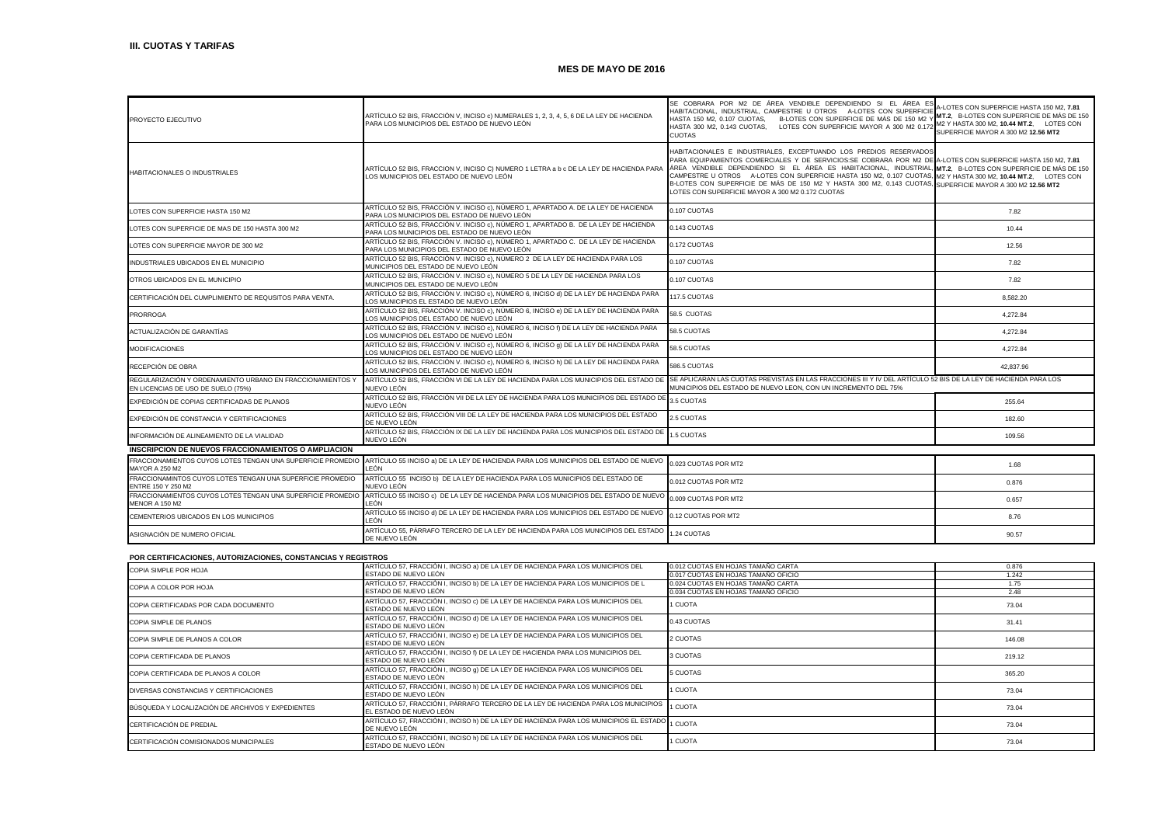| PROYECTO EJECUTIVO                                                                               | ARTÍCULO 52 BIS. FRACCIÓN V. INCISO c) NUMERALES 1, 2, 3, 4, 5, 6 DE LA LEY DE HACIENDA<br>PARA LOS MUNICIPIOS DEL ESTADO DE NUEVO LEÓN | SE COBRARA POR M2 DE ÁREA VENDIBLE DEPENDIENDO SI EL ÁREA ES<br>HABITACIONAL, INDUSTRIAL, CAMPESTRE U OTROS A-LOTES CON SUPERFICI<br>HASTA 150 M2, 0.107 CUOTAS. B-LOTES CON SUPERFICIE DE MÁS DE 150 M2<br>HASTA 300 M2, 0.143 CUOTAS. LOTES CON SUPERFICIE MAYOR A 300 M2 0.172<br><b>CUOTAS</b>                                                                                                                                                                                                                                                                                  | 4-LOTES CON SUPERFICIE HASTA 150 M2, 7.81<br>MT.2. B-LOTES CON SUPERFICIE DE MÁS DE 150<br>M2 Y HASTA 300 M2, 10.44 MT.2, LOTES CON<br>SUPERFICIE MAYOR A 300 M2 12.56 MT2 |
|--------------------------------------------------------------------------------------------------|-----------------------------------------------------------------------------------------------------------------------------------------|-------------------------------------------------------------------------------------------------------------------------------------------------------------------------------------------------------------------------------------------------------------------------------------------------------------------------------------------------------------------------------------------------------------------------------------------------------------------------------------------------------------------------------------------------------------------------------------|----------------------------------------------------------------------------------------------------------------------------------------------------------------------------|
| HABITACIONALES O INDUSTRIALES                                                                    | ARTÍCULO 52 BIS, FRACCION V, INCISO C) NUMERO 1 LETRA a b c DE LA LEY DE HACIENDA PARA<br>LOS MUNICIPIOS DEL ESTADO DE NUEVO LEÓN       | HABITACIONALES E INDUSTRIALES, EXCEPTUANDO LOS PREDIOS RESERVADOS<br>PARA EQUIPAMIENTOS COMERCIALES Y DE SERVICIOS:SE COBRARA POR M2 DE A-LOTES CON SUPERFICIE HASTA 150 M2, 7.81<br>ÁREA VENDIBLE DEPENDIENDO SI EL ÁREA ES HABITACIONAL, INDUSTRIAL, MT.2, B-LOTES CON SUPERFICIE DE MÁS DE 150<br>CAMPESTRE U OTROS A-LOTES CON SUPERFICIE HASTA 150 M2, 0.107 CUOTAS, M2 Y HASTA 300 M2, 10.44 MT.2, LOTES CON<br>B-LOTES CON SUPERFICIE DE MÁS DE 150 M2 Y HASTA 300 M2, 0.143 CUOTAS, SUPERFICIE MAYOR A 300 M2 12.56 MT2<br>LOTES CON SUPERFICIE MAYOR A 300 M2 0.172 CUOTAS |                                                                                                                                                                            |
| LOTES CON SUPERFICIE HASTA 150 M2                                                                | ARTÍCULO 52 BIS. FRACCIÓN V. INCISO c). NÚMERO 1. APARTADO A. DE LA LEY DE HACIENDA<br>PARA LOS MUNICIPIOS DEL ESTADO DE NUEVO LEÓN     | 0.107 CUOTAS                                                                                                                                                                                                                                                                                                                                                                                                                                                                                                                                                                        | 7.82                                                                                                                                                                       |
| LOTES CON SUPERFICIE DE MAS DE 150 HASTA 300 M2                                                  | ARTÍCULO 52 BIS, FRACCIÓN V. INCISO c), NÚMERO 1, APARTADO B. DE LA LEY DE HACIENDA<br>PARA LOS MUNICIPIOS DEL ESTADO DE NUEVO LEÓN     | 0.143 CUOTAS                                                                                                                                                                                                                                                                                                                                                                                                                                                                                                                                                                        | 10.44                                                                                                                                                                      |
| LOTES CON SUPERFICIE MAYOR DE 300 M2                                                             | ARTÍCULO 52 BIS. FRACCIÓN V. INCISO c). NÚMERO 1. APARTADO C. DE LA LEY DE HACIENDA<br>PARA LOS MUNICIPIOS DEL ESTADO DE NUEVO LEÓN     | 0.172 CUOTAS                                                                                                                                                                                                                                                                                                                                                                                                                                                                                                                                                                        | 12.56                                                                                                                                                                      |
| INDUSTRIALES UBICADOS EN EL MUNICIPIO                                                            | ARTÍCULO 52 BIS, FRACCIÓN V. INCISO c), NÚMERO 2 DE LA LEY DE HACIENDA PARA LOS<br>MUNICIPIOS DEL ESTADO DE NUEVO LEÓN                  | 0.107 CUOTAS                                                                                                                                                                                                                                                                                                                                                                                                                                                                                                                                                                        | 7.82                                                                                                                                                                       |
| OTROS UBICADOS EN EL MUNICIPIO                                                                   | ARTÍCULO 52 BIS. FRACCIÓN V. INCISO c). NÚMERO 5 DE LA LEY DE HACIENDA PARA LOS<br>MUNICIPIOS DEL ESTADO DE NUEVO LEÓN                  | 0.107 CUOTAS                                                                                                                                                                                                                                                                                                                                                                                                                                                                                                                                                                        | 7.82                                                                                                                                                                       |
| CERTIFICACIÓN DEL CUMPLIMIENTO DE REQUSITOS PARA VENTA.                                          | ARTÍCULO 52 BIS. FRACCIÓN V. INCISO c). NÚMERO 6. INCISO d) DE LA LEY DE HACIENDA PARA<br>LOS MUNICIPIOS EL ESTADO DE NUEVO LEÓN        | 117.5 CUOTAS                                                                                                                                                                                                                                                                                                                                                                                                                                                                                                                                                                        | 8.582.20                                                                                                                                                                   |
| <b>PRORROGA</b>                                                                                  | ARTÍCULO 52 BIS, FRACCIÓN V. INCISO c), NÚMERO 6, INCISO e) DE LA LEY DE HACIENDA PARA<br>LOS MUNICIPIOS DEL ESTADO DE NUEVO LEÓN       | 58.5 CUOTAS                                                                                                                                                                                                                                                                                                                                                                                                                                                                                                                                                                         | 4.272.84                                                                                                                                                                   |
| ACTUALIZACIÓN DE GARANTÍAS                                                                       | ARTÍCULO 52 BIS, FRACCIÓN V. INCISO c), NÚMERO 6, INCISO f) DE LA LEY DE HACIENDA PARA<br>LOS MUNICIPIOS DEL ESTADO DE NUEVO LEÓN       | 58.5 CUOTAS                                                                                                                                                                                                                                                                                                                                                                                                                                                                                                                                                                         | 4,272.84                                                                                                                                                                   |
| <b>MODIFICACIONES</b>                                                                            | ARTÍCULO 52 BIS, FRACCIÓN V. INCISO c), NÚMERO 6, INCISO q) DE LA LEY DE HACIENDA PARA<br>LOS MUNICIPIOS DEL ESTADO DE NUEVO LEÓN       | 58.5 CUOTAS                                                                                                                                                                                                                                                                                                                                                                                                                                                                                                                                                                         | 4,272.84                                                                                                                                                                   |
| RECEPCIÓN DE OBRA                                                                                | ARTÍCULO 52 BIS, FRACCIÓN V. INCISO c), NÚMERO 6, INCISO h) DE LA LEY DE HACIENDA PARA<br>LOS MUNICIPIOS DEL ESTADO DE NUEVO LEÓN       | 586.5 CUOTAS                                                                                                                                                                                                                                                                                                                                                                                                                                                                                                                                                                        | 42.837.96                                                                                                                                                                  |
| REGULARIZACIÓN Y ORDENAMIENTO URBANO EN FRACCIONAMIENTOS Y<br>EN LICENCIAS DE USO DE SUELO (75%) | ARTÍCULO 52 BIS. FRACCIÓN VI DE LA LEY DE HACIENDA PARA LOS MUNICIPIOS DEL ESTADO DE<br>NUEVO LEÓN                                      | SE APLICARAN LAS CUOTAS PREVISTAS EN LAS FRACCIONES III Y IV DEL ARTÍCULO 52 BIS DE LA LEY DE HACIENDA PARA LOS<br>MUNICIPIOS DEL ESTADO DE NUEVO LEON, CON UN INCREMENTO DEL 75%                                                                                                                                                                                                                                                                                                                                                                                                   |                                                                                                                                                                            |
| EXPEDICIÓN DE COPIAS CERTIFICADAS DE PLANOS                                                      | ARTÍCULO 52 BIS. FRACCIÓN VII DE LA LEY DE HACIENDA PARA LOS MUNICIPIOS DEL ESTADO DE<br>NUEVO LEÓN                                     | 3.5 CUOTAS                                                                                                                                                                                                                                                                                                                                                                                                                                                                                                                                                                          | 255.64                                                                                                                                                                     |
| EXPEDICIÓN DE CONSTANCIA Y CERTIFICACIONES                                                       | ARTÍCULO 52 BIS, FRACCIÓN VIII DE LA LEY DE HACIENDA PARA LOS MUNICIPIOS DEL ESTADO<br>DE NUEVO LEÓN                                    | 2.5 CUOTAS                                                                                                                                                                                                                                                                                                                                                                                                                                                                                                                                                                          | 182.60                                                                                                                                                                     |
| INFORMACIÓN DE ALINEAMIENTO DE LA VIALIDAD                                                       | ARTÍCULO 52 BIS, FRACCIÓN IX DE LA LEY DE HACIENDA PARA LOS MUNICIPIOS DEL ESTADO DE<br>NUEVO LEÓN                                      | 1.5 CUOTAS                                                                                                                                                                                                                                                                                                                                                                                                                                                                                                                                                                          | 109.56                                                                                                                                                                     |
| INSCRIPCION DE NUEVOS FRACCIONAMIENTOS O AMPLIACION                                              |                                                                                                                                         |                                                                                                                                                                                                                                                                                                                                                                                                                                                                                                                                                                                     |                                                                                                                                                                            |
| FRACCIONAMIENTOS CUYOS LOTES TENGAN UNA SUPERFICIE PROMEDIO<br><b>MAYOR A 250 M2</b>             | ARTÍCULO 55 INCISO a) DE LA LEY DE HACIENDA PARA LOS MUNICIPIOS DEL ESTADO DE NUEVO<br>LEÓN.                                            | 0.023 CUOTAS POR MT2                                                                                                                                                                                                                                                                                                                                                                                                                                                                                                                                                                | 1.68                                                                                                                                                                       |
| FRACCIONAMINTOS CUYOS LOTES TENGAN UNA SUPERFICIE PROMEDIO<br>ENTRE 150 Y 250 M2                 | ARTÍCULO 55 INCISO b) DE LA LEY DE HACIENDA PARA LOS MUNICIPIOS DEL ESTADO DE<br>NUEVO LEÓN                                             | 0.012 CUOTAS POR MT2                                                                                                                                                                                                                                                                                                                                                                                                                                                                                                                                                                | 0.876                                                                                                                                                                      |
| FRACCIONAMIENTOS CUYOS LOTES TENGAN UNA SUPERFICIE PROMEDIO<br><b>MENOR A 150 M2</b>             | ARTÍCULO 55 INCISO c) DE LA LEY DE HACIENDA PARA LOS MUNICIPIOS DEL ESTADO DE NUEVO<br>LEÓN                                             | 0.009 CUOTAS POR MT2                                                                                                                                                                                                                                                                                                                                                                                                                                                                                                                                                                | 0.657                                                                                                                                                                      |
| CEMENTERIOS UBICADOS EN LOS MUNICIPIOS                                                           | ARTÍCULO 55 INCISO d) DE LA LEY DE HACIENDA PARA LOS MUNICIPIOS DEL ESTADO DE NUEVO<br>LEÓN                                             | 0.12 CUOTAS POR MT2                                                                                                                                                                                                                                                                                                                                                                                                                                                                                                                                                                 | 8.76                                                                                                                                                                       |
| ASIGNACIÓN DE NUMERO OFICIAL                                                                     | ARTÍCULO 55, PÁRRAFO TERCERO DE LA LEY DE HACIENDA PARA LOS MUNICIPIOS DEL ESTADO<br>DE NUEVO LEÓN                                      | 1.24 CUOTAS                                                                                                                                                                                                                                                                                                                                                                                                                                                                                                                                                                         | 90.57                                                                                                                                                                      |
|                                                                                                  |                                                                                                                                         |                                                                                                                                                                                                                                                                                                                                                                                                                                                                                                                                                                                     |                                                                                                                                                                            |

| POR CERTIFICACIONES. AUTORIZACIONES. CONSTANCIAS Y REGISTROS |                                                                                                |                                     |        |  |
|--------------------------------------------------------------|------------------------------------------------------------------------------------------------|-------------------------------------|--------|--|
| COPIA SIMPLE POR HOJA                                        | ARTÍCULO 57, FRACCIÓN I, INCISO a) DE LA LEY DE HACIENDA PARA LOS MUNICIPIOS DEL               | 0.012 CUOTAS EN HOJAS TAMAÑO CARTA  | 0.876  |  |
|                                                              | ESTADO DE NUEVO LEÓN                                                                           | 0.017 CUOTAS EN HOJAS TAMAÑO OFICIO | 1.242  |  |
| COPIA A COLOR POR HOJA                                       | ARTÍCULO 57, FRACCIÓN I, INCISO b) DE LA LEY DE HACIENDA PARA LOS MUNICIPIOS DE L              | 0.024 CUOTAS EN HOJAS TAMAÑO CARTA  | 1.75   |  |
|                                                              | ESTADO DE NUEVO LEÓN                                                                           | 0.034 CUOTAS EN HOJAS TAMAÑO OFICIO | 2.48   |  |
| COPIA CERTIFICADAS POR CADA DOCUMENTO                        | ARTÍCULO 57, FRACCIÓN I, INCISO c) DE LA LEY DE HACIENDA PARA LOS MUNICIPIOS DEL               | 1 CUOTA                             | 73.04  |  |
|                                                              | ESTADO DE NUEVO LEÓN                                                                           |                                     |        |  |
| COPIA SIMPLE DE PLANOS                                       | ARTÍCULO 57, FRACCIÓN I, INCISO d) DE LA LEY DE HACIENDA PARA LOS MUNICIPIOS DEL               | 0.43 CUOTAS                         | 31.41  |  |
|                                                              | ESTADO DE NUEVO LEÓN                                                                           |                                     |        |  |
| COPIA SIMPLE DE PLANOS A COLOR                               | ARTÍCULO 57, FRACCIÓN I, INCISO e) DE LA LEY DE HACIENDA PARA LOS MUNICIPIOS DEL               | 2 CUOTAS                            | 146.08 |  |
|                                                              | ESTADO DE NUEVO LEÓN                                                                           |                                     |        |  |
| COPIA CERTIFICADA DE PLANOS                                  | ARTÍCULO 57, FRACCIÓN I, INCISO f) DE LA LEY DE HACIENDA PARA LOS MUNICIPIOS DEL               | 3 CUOTAS                            | 219.12 |  |
|                                                              | ESTADO DE NUEVO LEÓN                                                                           |                                     |        |  |
| COPIA CERTIFICADA DE PLANOS A COLOR                          | ARTÍCULO 57. FRACCIÓN I. INCISO 0) DE LA LEY DE HACIENDA PARA LOS MUNICIPIOS DEL               | 5 CUOTAS                            | 365.20 |  |
|                                                              | ESTADO DE NUEVO LEÓN                                                                           |                                     |        |  |
| DIVERSAS CONSTANCIAS Y CERTIFICACIONES                       | ARTÍCULO 57, FRACCIÓN I, INCISO h) DE LA LEY DE HACIENDA PARA LOS MUNICIPIOS DEL               | 1 CUOTA                             | 73.04  |  |
|                                                              | ESTADO DE NUEVO LEÓN                                                                           |                                     |        |  |
| BÚSQUEDA Y LOCALIZACIÓN DE ARCHIVOS Y EXPEDIENTES            | ARTÍCULO 57. FRACCIÓN I. PÁRRAFO TERCERO DE LA LEY DE HACIENDA PARA LOS MUNICIPIOS             | 1 CUOTA                             | 73.04  |  |
|                                                              | EL ESTADO DE NUEVO LEÓN                                                                        |                                     |        |  |
| CERTIFICACIÓN DE PREDIAL                                     | ARTÍCULO 57, FRACCIÓN I, INCISO h) DE LA LEY DE HACIENDA PARA LOS MUNICIPIOS EL ESTADO 1 CUOTA |                                     | 73.04  |  |
|                                                              | DE NUEVO LEÓN                                                                                  |                                     |        |  |
| CERTIFICACIÓN COMISIONADOS MUNICIPALES                       | ARTÍCULO 57, FRACCIÓN I, INCISO h) DE LA LEY DE HACIENDA PARA LOS MUNICIPIOS DEL               | 1 CUOTA                             | 73.04  |  |
|                                                              | ESTADO DE NUEVO LEÓN                                                                           |                                     |        |  |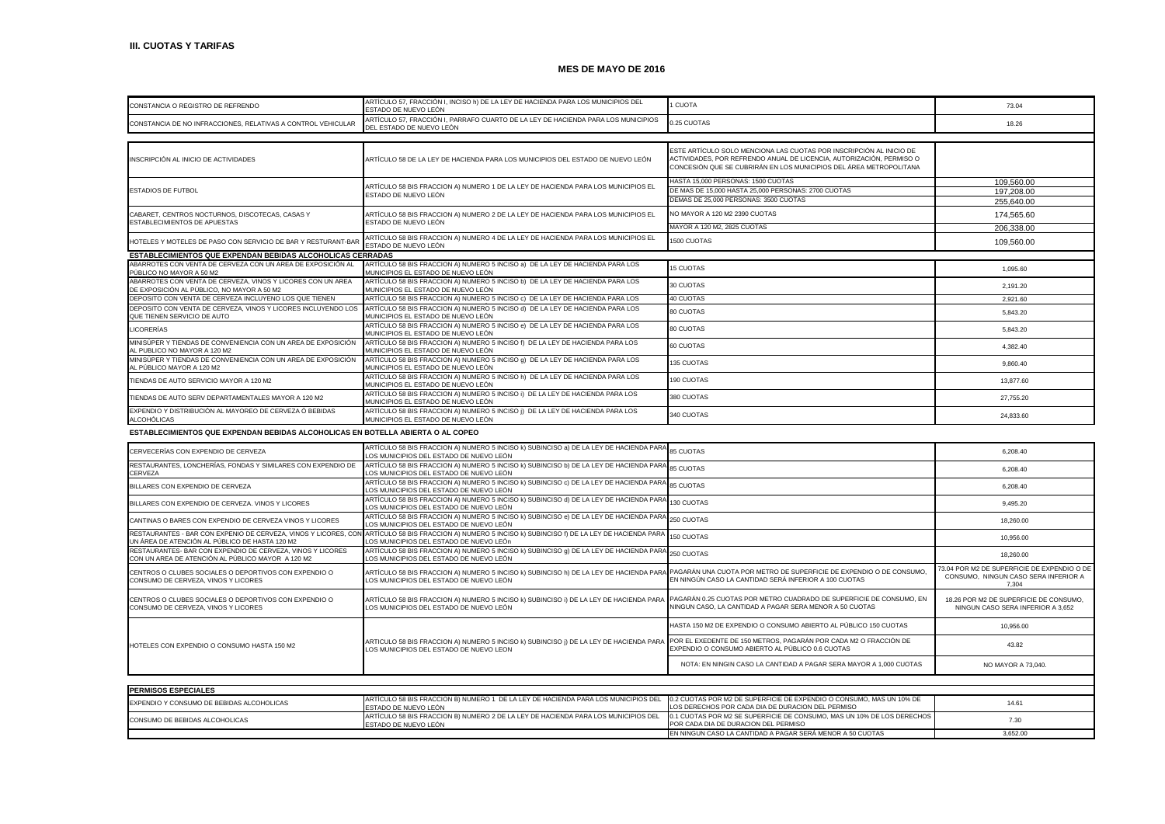| CONSTANCIA O REGISTRO DE REFRENDO                                                                                 | ARTÍCULO 57, FRACCIÓN I, INCISO h) DE LA LEY DE HACIENDA PARA LOS MUNICIPIOS DEL<br>ESTADO DE NUEVO LEÓN                                                           | 1 CUOTA                                                                                                                                                                                                           | 73.04                                                                                        |
|-------------------------------------------------------------------------------------------------------------------|--------------------------------------------------------------------------------------------------------------------------------------------------------------------|-------------------------------------------------------------------------------------------------------------------------------------------------------------------------------------------------------------------|----------------------------------------------------------------------------------------------|
| CONSTANCIA DE NO INFRACCIONES, RELATIVAS A CONTROL VEHICULAR                                                      | ARTÍCULO 57. FRACCIÓN I. PARRAFO CUARTO DE LA LEY DE HACIENDA PARA LOS MUNICIPIOS<br><b>DEL ESTADO DE NUEVO LEÓN</b>                                               | 0.25 CUOTAS                                                                                                                                                                                                       | 18.26                                                                                        |
|                                                                                                                   |                                                                                                                                                                    |                                                                                                                                                                                                                   |                                                                                              |
| INSCRIPCIÓN AL INICIO DE ACTIVIDADES                                                                              | ARTÍCULO 58 DE LA LEY DE HACIENDA PARA LOS MUNICIPIOS DEL ESTADO DE NUEVO LEÓN                                                                                     | ESTE ARTÍCULO SOLO MENCIONA LAS CUOTAS POR INSCRIPCIÓN AL INICIO DE<br>ACTIVIDADES, POR REFRENDO ANUAL DE LICENCIA, AUTORIZACIÓN, PERMISO O<br>CONCESIÓN QUE SE CUBRIRÁN EN LOS MUNICIPIOS DEL ÁREA METROPOLITANA |                                                                                              |
| <b>ESTADIOS DE FUTBOL</b>                                                                                         | ARTÍCULO 58 BIS FRACCION A) NUMERO 1 DE LA LEY DE HACIENDA PARA LOS MUNICIPIOS EL                                                                                  | HASTA 15,000 PERSONAS: 1500 CUOTAS<br>DE MAS DE 15,000 HASTA 25,000 PERSONAS: 2700 CUOTAS                                                                                                                         | 109,560.00<br>197,208.00                                                                     |
|                                                                                                                   | ESTADO DE NUEVO LEÓN                                                                                                                                               | DEMAS DE 25,000 PERSONAS: 3500 CUOTAS                                                                                                                                                                             | 255,640.00                                                                                   |
| CABARET, CENTROS NOCTURNOS, DISCOTECAS, CASAS Y<br>ESTABLECIMIENTOS DE APUESTAS                                   | ARTÍCULO 58 BIS FRACCION A) NUMERO 2 DE LA LEY DE HACIENDA PARA LOS MUNICIPIOS EL<br>ESTADO DE NUEVO LEÓN                                                          | NO MAYOR A 120 M2 2390 CUOTAS                                                                                                                                                                                     | 174,565.60                                                                                   |
|                                                                                                                   | ARTÍCULO 58 BIS FRACCION A) NUMERO 4 DE LA LEY DE HACIENDA PARA LOS MUNICIPIOS EL                                                                                  | MAYOR A 120 M2, 2825 CUOTAS                                                                                                                                                                                       | 206.338.00                                                                                   |
| HOTELES Y MOTELES DE PASO CON SERVICIO DE BAR Y RESTURANT-BAR                                                     | ESTADO DE NUEVO LEÓN                                                                                                                                               | 1500 CUOTAS                                                                                                                                                                                                       | 109,560.00                                                                                   |
| <b>ESTABLECIMIENTOS QUE EXPENDAN BEBIDAS ALCOHOLICAS CERRADAS</b>                                                 |                                                                                                                                                                    |                                                                                                                                                                                                                   |                                                                                              |
| ABARROTES CON VENTA DE CERVEZA CON UN AREA DE EXPOSICIÓN AL<br>PÚBLICO NO MAYOR A 50 M2                           | ARTÍCULO 58 BIS FRACCION A) NUMERO 5 INCISO a) DE LA LEY DE HACIENDA PARA LOS<br>MUNICIPIOS EL ESTADO DE NUEVO LEÓN                                                | <b>15 CUOTAS</b>                                                                                                                                                                                                  | 1,095.60                                                                                     |
| ABARROTES CON VENTA DE CERVEZA, VINOS Y LICORES CON UN AREA<br>DE EXPOSICIÓN AL PÚBLICO, NO MAYOR A 50 M2         | ARTÍCULO 58 BIS FRACCION A) NUMERO 5 INCISO b) DE LA LEY DE HACIENDA PARA LOS<br>MUNICIPIOS EL ESTADO DE NUEVO LEÓN                                                | 30 CUOTAS                                                                                                                                                                                                         | 2,191.20                                                                                     |
| DEPOSITO CON VENTA DE CERVEZA INCLUYENO LOS QUE TIENEN                                                            | ARTÍCULO 58 BIS FRACCION A) NUMERO 5 INCISO c) DE LA LEY DE HACIENDA PARA LOS                                                                                      | 40 CUOTAS                                                                                                                                                                                                         | 2.921.60                                                                                     |
| DEPOSITO CON VENTA DE CERVEZA. VINOS Y LICORES INCLUYENDO LOS<br>QUE TIENEN SERVICIO DE AUTO                      | ARTÍCULO 58 BIS FRACCION A) NUMERO 5 INCISO d) DE LA LEY DE HACIENDA PARA LOS<br><i>INUNICIPIOS EL ESTADO DE NUEVO LEÓN</i>                                        | <b>BO CUOTAS</b>                                                                                                                                                                                                  | 5,843.20                                                                                     |
| LICORERÍAS                                                                                                        | ARTÍCULO 58 BIS FRACCION A) NUMERO 5 INCISO e) DE LA LEY DE HACIENDA PARA LOS<br><i>INUNICIPIOS EL ESTADO DE NUEVO LEÓN</i>                                        | <b>BO CUOTAS</b>                                                                                                                                                                                                  | 5,843.20                                                                                     |
| MINISÚPER Y TIENDAS DE CONVENIENCIA CON UN AREA DE EXPOSICIÓN<br>L PUBLICO NO MAYOR A 120 M2                      | ARTÍCULO 58 BIS FRACCION A) NUMERO 5 INCISO f) DE LA LEY DE HACIENDA PARA LOS<br><i>INUNICIPIOS EL ESTADO DE NUEVO LEÓN</i>                                        | 60 CUOTAS                                                                                                                                                                                                         | 4,382.40                                                                                     |
| MINISÚPER Y TIENDAS DE CONVENIENCIA CON UN AREA DE EXPOSICIÓN<br>L PÚBLICO MAYOR A 120 M2                         | ARTÍCULO 58 BIS FRACCION A) NUMERO 5 INCISO g) DE LA LEY DE HACIENDA PARA LOS<br><i>INUNICIPIOS EL ESTADO DE NUEVO LEÓN</i>                                        | <b>135 CUOTAS</b>                                                                                                                                                                                                 | 9,860.40                                                                                     |
| TIENDAS DE AUTO SERVICIO MAYOR A 120 M2                                                                           | ARTÍCULO 58 BIS FRACCION A) NUMERO 5 INCISO h) DE LA LEY DE HACIENDA PARA LOS                                                                                      | 190 CUOTAS                                                                                                                                                                                                        | 13,877.60                                                                                    |
| TIENDAS DE AUTO SERV DEPARTAMENTALES MAYOR A 120 M2                                                               | <i>I</i> IUNICIPIOS EL ESTADO DE NUEVO LEÓN<br>ARTÍCULO 58 BIS FRACCION A) NUMERO 5 INCISO i) DE LA LEY DE HACIENDA PARA LOS<br>MUNICIPIOS EL ESTADO DE NUEVO LEÓN | 380 CUOTAS                                                                                                                                                                                                        | 27,755.20                                                                                    |
| EXPENDIO Y DISTRIBUCIÓN AL MAYOREO DE CERVEZA Ó BEBIDAS                                                           | ARTÍCULO 58 BIS FRACCION A) NUMERO 5 INCISO ¡) DE LA LEY DE HACIENDA PARA LOS                                                                                      | 340 CUOTAS                                                                                                                                                                                                        | 24.833.60                                                                                    |
| JI COHÓLICAS<br>ESTABLECIMIENTOS QUE EXPENDAN BEBIDAS ALCOHOLICAS EN BOTELLA ABIERTA O AL COPEO                   | MUNICIPIOS EL ESTADO DE NUEVO LEÓN                                                                                                                                 |                                                                                                                                                                                                                   |                                                                                              |
|                                                                                                                   |                                                                                                                                                                    |                                                                                                                                                                                                                   |                                                                                              |
| CERVECERÍAS CON EXPENDIO DE CERVEZA                                                                               | ARTÍCULO 58 BIS FRACCION A) NUMERO 5 INCISO k) SUBINCISO a) DE LA LEY DE HACIENDA PARA<br>LOS MUNICIPIOS DEL ESTADO DE NUEVO LEÓN                                  | 85 CUOTAS                                                                                                                                                                                                         | 6,208.40                                                                                     |
| RESTAURANTES, LONCHERÍAS, FONDAS Y SIMILARES CON EXPENDIO DE<br>CERVEZA                                           | ARTÍCULO 58 BIS FRACCION A) NUMERO 5 INCISO k) SUBINCISO b) DE LA LEY DE HACIENDA PARA<br>OS MUNICIPIOS DEL ESTADO DE NUEVO LEÓN                                   | 85 CUOTAS                                                                                                                                                                                                         | 6,208.40                                                                                     |
| BILLARES CON EXPENDIO DE CERVEZA                                                                                  | ARTÍCULO 58 BIS FRACCION A) NUMERO 5 INCISO k) SUBINCISO c) DE LA LEY DE HACIENDA PARA<br>OS MUNICIPIOS DEL ESTADO DE NUEVO LEÓN                                   | 85 CUOTAS                                                                                                                                                                                                         | 6,208.40                                                                                     |
| BILLARES CON EXPENDIO DE CERVEZA. VINOS Y LICORES                                                                 | ARTÍCULO 58 BIS FRACCION A) NUMERO 5 INCISO k) SUBINCISO d) DE LA LEY DE HACIENDA PAR<br>OS MUNICIPIOS DEL ESTADO DE NUEVO LEÓN                                    | 130 CUOTAS                                                                                                                                                                                                        | 9,495.20                                                                                     |
| CANTINAS O BARES CON EXPENDIO DE CERVEZA VINOS Y LICORES                                                          | ARTÍCULO 58 BIS FRACCION A) NUMERO 5 INCISO k) SUBINCISO e) DE LA LEY DE HACIENDA PAR.<br>OS MUNICIPIOS DEL ESTADO DE NUEVO LEÓN                                   | 250 CUOTAS                                                                                                                                                                                                        | 18,260.00                                                                                    |
| RESTAURANTES - BAR CON EXPENIO DE CERVEZA, VINOS Y LICORES, CON<br>JN ÁREA DE ATENCIÓN AL PÚBLICO DE HASTA 120 M2 | ARTÍCULO 58 BIS FRACCION A) NUMERO 5 INCISO k) SUBINCISO f) DE LA LEY DE HACIENDA PARA<br>OS MUNICIPIOS DEL ESTADO DE NUEVO LEÓn                                   | 150 CUOTAS                                                                                                                                                                                                        | 10,956.00                                                                                    |
| RESTAURANTES- BAR CON EXPENDIO DE CERVEZA, VINOS Y LICORES<br>CON UN AREA DE ATENCIÓN AL PÚBLICO MAYOR A 120 M2   | ARTÍCULO 58 BIS FRACCION A) NUMERO 5 INCISO k) SUBINCISO g) DE LA LEY DE HACIENDA PAR<br>OS MUNICIPIOS DEL ESTADO DE NUEVO LEÓN                                    | 250 CUOTAS                                                                                                                                                                                                        | 18,260.00                                                                                    |
| CENTROS O CLUBES SOCIALES O DEPORTIVOS CON EXPENDIO O<br>CONSUMO DE CERVEZA, VINOS Y LICORES                      | ARTÍCULO 58 BIS FRACCION A) NUMERO 5 INCISO k) SUBINCISO h) DE LA LEY DE HACIENDA PAR<br>LOS MUNICIPIOS DEL ESTADO DE NUEVO LEÓN                                   | A PAGARÁN UNA CUOTA POR METRO DE SUPERFICIE DE EXPENDIO O DE CONSUMO,<br>EN NINGÚN CASO LA CANTIDAD SERÁ INFERIOR A 100 CUOTAS                                                                                    | 73.04 POR M2 DE SUPERFICIE DE EXPENDIO O DE<br>CONSUMO. NINGUN CASO SERA INFERIOR A<br>7,304 |
| CENTROS O CLUBES SOCIALES O DEPORTIVOS CON EXPENDIO O<br>CONSUMO DE CERVEZA, VINOS Y LICORES                      | ARTÍCULO 58 BIS FRACCION A) NUMERO 5 INCISO k) SUBINCISO i) DE LA LEY DE HACIENDA PAR.<br>LOS MUNICIPIOS DEL ESTADO DE NUEVO LEÓN                                  | PAGARÁN 0.25 CUOTAS POR METRO CUADRADO DE SUPERFICIE DE CONSUMO, EN<br>NINGUN CASO. LA CANTIDAD A PAGAR SERA MENOR A 50 CUOTAS                                                                                    | 18.26 POR M2 DE SUPERFICIE DE CONSUMO,<br>NINGUN CASO SERA INFERIOR A 3,652                  |
|                                                                                                                   | ARTICULO 58 BIS FRACCION A) NUMERO 5 INCISO k) SUBINCISO j) DE LA LEY DE HACIENDA PARA<br>LOS MUNICIPIOS DEL ESTADO DE NUEVO LEON                                  | HASTA 150 M2 DE EXPENDIO O CONSUMO ABIERTO AL PÚBLICO 150 CUOTAS                                                                                                                                                  | 10,956.00                                                                                    |
| HOTELES CON EXPENDIO O CONSUMO HASTA 150 M2                                                                       |                                                                                                                                                                    | POR EL EXEDENTE DE 150 METROS, PAGARÁN POR CADA M2 O FRACCIÓN DE<br>EXPENDIO O CONSUMO ABIERTO AL PÚBLICO 0.6 CUOTAS                                                                                              | 43.82                                                                                        |
|                                                                                                                   |                                                                                                                                                                    | NOTA: EN NINGIN CASO LA CANTIDAD A PAGAR SERA MAYOR A 1,000 CUOTAS                                                                                                                                                | NO MAYOR A 73,040.                                                                           |
|                                                                                                                   |                                                                                                                                                                    |                                                                                                                                                                                                                   |                                                                                              |
| <b>PERMISOS ESPECIALES</b>                                                                                        |                                                                                                                                                                    |                                                                                                                                                                                                                   |                                                                                              |
| EXPENDIO Y CONSUMO DE BEBIDAS ALCOHOLICAS                                                                         | ARTÍCULO 58 BIS FRACCION B) NUMERO 1 DE LA LEY DE HACIENDA PARA LOS MUNICIPIOS DEL<br><b>ESTADO DE NUEVO LEÓN</b>                                                  | 0.2 CUOTAS POR M2 DE SUPERFICIE DE EXPENDIO O CONSUMO, MAS UN 10% DE<br>OS DERECHOS POR CADA DIA DE DURACION DEL PERMISO                                                                                          | 14.61                                                                                        |
| CONSUMO DE BEBIDAS ALCOHOLICAS                                                                                    | ARTÍCULO 58 BIS FRACCION B) NUMERO 2 DE LA LEY DE HACIENDA PARA LOS MUNICIPIOS DEL<br>ESTADO DE NUEVO LEÓN                                                         | 0.1 CUOTAS POR M2 SE SUPERFICIE DE CONSUMO, MAS UN 10% DE LOS DERECHOS<br>POR CADA DIA DE DURACION DEL PERMISO                                                                                                    | 7.30                                                                                         |
|                                                                                                                   |                                                                                                                                                                    | EN NINGUN CASO LA CANTIDAD A PAGAR SERÁ MENOR A 50 CUOTAS                                                                                                                                                         | 3.652.00                                                                                     |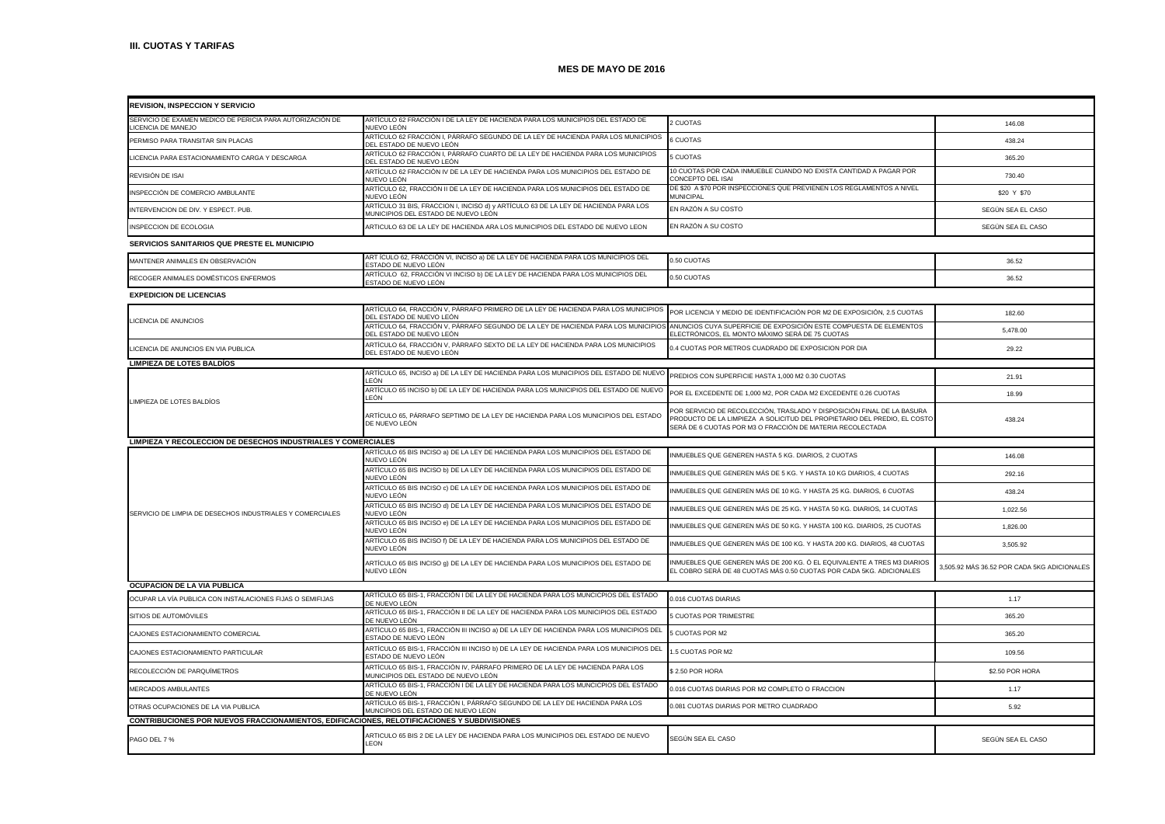| <b>REVISION, INSPECCION Y SERVICIO</b>                                                      |                                                                                                                            |                                                                                                                                                                                                                 |                                             |
|---------------------------------------------------------------------------------------------|----------------------------------------------------------------------------------------------------------------------------|-----------------------------------------------------------------------------------------------------------------------------------------------------------------------------------------------------------------|---------------------------------------------|
| SERVICIO DE EXAMEN MEDICO DE PERICIA PARA AUTORIZACIÓN DE<br><b>ICENCIA DE MANEJO</b>       | ARTÍCULO 62 FRACCIÓN I DE LA LEY DE HACIENDA PARA LOS MUNICIPIOS DEL ESTADO DE<br>NUEVO LEÓN                               | 2 CUOTAS                                                                                                                                                                                                        | 146.08                                      |
| PERMISO PARA TRANSITAR SIN PLACAS                                                           | ARTÍCULO 62 FRACCIÓN I, PÁRRAFO SEGUNDO DE LA LEY DE HACIENDA PARA LOS MUNICIPIOS<br>DEL ESTADO DE NUEVO LEÓN              | 6 CUOTAS                                                                                                                                                                                                        | 438.24                                      |
| LICENCIA PARA ESTACIONAMIENTO CARGA Y DESCARGA                                              | ARTÍCULO 62 FRACCIÓN I, PÁRRAFO CUARTO DE LA LEY DE HACIENDA PARA LOS MUNICIPIOS<br>DEL ESTADO DE NUEVO LEÓN               | 5 CUOTAS                                                                                                                                                                                                        | 365.20                                      |
| REVISIÓN DE ISAI                                                                            | ARTÍCULO 62 FRACCIÓN IV DE LA LEY DE HACIENDA PARA LOS MUNICIPIOS DEL ESTADO DE<br>NUEVO LEÓN                              | 10 CUOTAS POR CADA INMUEBLE CUANDO NO EXISTA CANTIDAD A PAGAR POR<br>CONCEPTO DEL ISAI                                                                                                                          | 730.40                                      |
| INSPECCIÓN DE COMERCIO AMBULANTE                                                            | ARTÍCULO 62, FRACCIÓN II DE LA LEY DE HACIENDA PARA LOS MUNICIPIOS DEL ESTADO DE<br>NUEVO LEÓN                             | DE \$20 A \$70 POR INSPECCIONES QUE PREVIENEN LOS REGLAMENTOS A NIVEL<br><b>MUNICIPAL</b>                                                                                                                       | \$20 Y \$70                                 |
| INTERVENCION DE DIV. Y ESPECT. PUB.                                                         | ARTÍCULO 31 BIS, FRACCION I, INCISO d) y ARTÍCULO 63 DE LA LEY DE HACIENDA PARA LOS<br>MUNICIPIOS DEL ESTADO DE NUEVO LEÓN | EN RAZÓN A SU COSTO                                                                                                                                                                                             | SEGÚN SEA EL CASO                           |
| INSPECCION DE ECOLOGIA                                                                      | ARTICULO 63 DE LA LEY DE HACIENDA ARA LOS MUNICIPIOS DEL ESTADO DE NUEVO LEON                                              | EN RAZÓN A SU COSTO                                                                                                                                                                                             | SEGÚN SEA EL CASO                           |
| SERVICIOS SANITARIOS QUE PRESTE EL MUNICIPIO                                                |                                                                                                                            |                                                                                                                                                                                                                 |                                             |
| MANTENER ANIMALES EN OBSERVACIÓN                                                            | ART ÍCULO 62, FRACCIÓN VI, INCISO a) DE LA LEY DE HACIENDA PARA LOS MUNICIPIOS DEL<br>ESTADO DE NUEVO LEÓN                 | 0.50 CUOTAS                                                                                                                                                                                                     | 36.52                                       |
| RECOGER ANIMALES DOMÉSTICOS ENFERMOS                                                        | ARTÍCULO 62, FRACCIÓN VI INCISO b) DE LA LEY DE HACIENDA PARA LOS MUNICIPIOS DEL<br>ESTADO DE NUEVO LEÓN                   | 0.50 CUOTAS                                                                                                                                                                                                     | 36.52                                       |
| <b>EXPEDICION DE LICENCIAS</b>                                                              |                                                                                                                            |                                                                                                                                                                                                                 |                                             |
|                                                                                             | ARTÍCULO 64, FRACCIÓN V, PÁRRAFO PRIMERO DE LA LEY DE HACIENDA PARA LOS MUNICIPIOS<br>DEL ESTADO DE NUEVO LEÓN             | POR LICENCIA Y MEDIO DE IDENTIFICACIÓN POR M2 DE EXPOSICIÓN, 2.5 CUOTAS                                                                                                                                         | 182.60                                      |
| LICENCIA DE ANUNCIOS                                                                        | ARTÍCULO 64, FRACCIÓN V, PÁRRAFO SEGUNDO DE LA LEY DE HACIENDA PARA LOS MUNICIPIOS<br>DEL ESTADO DE NUEVO LEÓN             | ANUNCIOS CUYA SUPERFICIE DE EXPOSICIÓN ESTE COMPUESTA DE ELEMENTOS<br>ELECTRÓNICOS, EL MONTO MÁXIMO SERÁ DE 75 CUOTAS                                                                                           | 5,478.00                                    |
| LICENCIA DE ANUNCIOS EN VIA PUBLICA                                                         | ARTÍCULO 64, FRACCIÓN V, PÁRRAFO SEXTO DE LA LEY DE HACIENDA PARA LOS MUNICIPIOS<br>DEL ESTADO DE NUEVO LEÓN               | 0.4 CUOTAS POR METROS CUADRADO DE EXPOSICION POR DIA                                                                                                                                                            | 29.22                                       |
| <b>LIMPIEZA DE LOTES BALDIOS</b>                                                            |                                                                                                                            |                                                                                                                                                                                                                 |                                             |
|                                                                                             | ARTÍCULO 65, INCISO a) DE LA LEY DE HACIENDA PARA LOS MUNICIPIOS DEL ESTADO DE NUEVO<br>I FÓN                              | PREDIOS CON SUPERFICIE HASTA 1,000 M2 0.30 CUOTAS                                                                                                                                                               | 21.91                                       |
| LIMPIEZA DE LOTES BALDÍOS                                                                   | ARTÍCULO 65 INCISO b) DE LA LEY DE HACIENDA PARA LOS MUNICIPIOS DEL ESTADO DE NUEVO<br>LEÓN                                | POR EL EXCEDENTE DE 1.000 M2, POR CADA M2 EXCEDENTE 0.26 CUOTAS                                                                                                                                                 | 18.99                                       |
|                                                                                             | ARTÍCULO 65, PÁRRAFO SEPTIMO DE LA LEY DE HACIENDA PARA LOS MUNICIPIOS DEL ESTADO<br>DE NUEVO LEÓN                         | POR SERVICIO DE RECOLECCIÓN, TRASLADO Y DISPOSICIÓN FINAL DE LA BASURA<br>PRODUCTO DE LA LIMPIEZA A SOLICITUD DEL PROPIETARIO DEL PREDIO, EL COSTO<br>SERÁ DE 6 CUOTAS POR M3 O FRACCIÓN DE MATERIA RECOLECTADA | 438.24                                      |
| LIMPIEZA Y RECOLECCION DE DESECHOS INDUSTRIALES Y COMERCIALES                               |                                                                                                                            |                                                                                                                                                                                                                 |                                             |
|                                                                                             | ARTÍCULO 65 BIS INCISO a) DE LA LEY DE HACIENDA PARA LOS MUNICIPIOS DEL ESTADO DE<br>NUEVO LEÓN                            | INMUEBLES QUE GENEREN HASTA 5 KG. DIARIOS, 2 CUOTAS                                                                                                                                                             | 146.08                                      |
|                                                                                             | ARTÍCULO 65 BIS INCISO b) DE LA LEY DE HACIENDA PARA LOS MUNICIPIOS DEL ESTADO DE<br>NUEVO LEÓN                            | INMUEBLES QUE GENEREN MÁS DE 5 KG. Y HASTA 10 KG DIARIOS, 4 CUOTAS                                                                                                                                              | 292.16                                      |
|                                                                                             | ARTÍCULO 65 BIS INCISO c) DE LA LEY DE HACIENDA PARA LOS MUNICIPIOS DEL ESTADO DE<br>NUEVO LEÓN                            | INMUEBLES QUE GENEREN MÁS DE 10 KG. Y HASTA 25 KG. DIARIOS, 6 CUOTAS                                                                                                                                            | 438.24                                      |
| SERVICIO DE LIMPIA DE DESECHOS INDUSTRIALES Y COMERCIALES                                   | ARTÍCULO 65 BIS INCISO d) DE LA LEY DE HACIENDA PARA LOS MUNICIPIOS DEL ESTADO DE<br>NUEVO LEÓN                            | INMUEBLES QUE GENEREN MÁS DE 25 KG. Y HASTA 50 KG. DIARIOS, 14 CUOTAS                                                                                                                                           | 1,022.56                                    |
|                                                                                             | ARTÍCULO 65 BIS INCISO e) DE LA LEY DE HACIENDA PARA LOS MUNICIPIOS DEL ESTADO DE<br>NUEVO LEÓN                            | INMUEBLES QUE GENEREN MÁS DE 50 KG. Y HASTA 100 KG. DIARIOS, 25 CUOTAS                                                                                                                                          | 1,826.00                                    |
|                                                                                             | ARTÍCULO 65 BIS INCISO f) DE LA LEY DE HACIENDA PARA LOS MUNICIPIOS DEL ESTADO DE<br>NUEVO LEÓN                            | INMUEBLES QUE GENEREN MÁS DE 100 KG. Y HASTA 200 KG. DIARIOS, 48 CUOTAS                                                                                                                                         | 3,505.92                                    |
|                                                                                             | ARTÍCULO 65 BIS INCISO g) DE LA LEY DE HACIENDA PARA LOS MUNICIPIOS DEL ESTADO DE<br>NUEVO LEÓN                            | INMUEBLES QUE GENEREN MÁS DE 200 KG. Ó EL EQUIVALENTE A TRES M3 DIARIOS<br>EL COBRO SERÁ DE 48 CUOTAS MÁS 0.50 CUOTAS POR CADA 5KG. ADICIONALES                                                                 | 3,505.92 MÁS 36.52 POR CADA 5KG ADICIONALES |
| OCUPACION DE LA VIA PUBLICA                                                                 |                                                                                                                            |                                                                                                                                                                                                                 |                                             |
| OCUPAR LA VÍA PUBLICA CON INSTALACIONES FIJAS O SEMIFIJAS                                   | ARTÍCULO 65 BIS-1, FRACCIÓN I DE LA LEY DE HACIENDA PARA LOS MUNCICPIOS DEL ESTADO<br>DE NUEVO LEÓN                        | 0.016 CUOTAS DIARIAS                                                                                                                                                                                            | 1.17                                        |
| SITIOS DE AUTOMÓVILES                                                                       | ARTÍCULO 65 BIS-1, FRACCIÓN II DE LA LEY DE HACIENDA PARA LOS MUNICIPIOS DEL ESTADO<br>DE NUEVO LEON                       | 5 CUOTAS POR TRIMESTRE                                                                                                                                                                                          | 365.20                                      |
| CAJONES ESTACIONAMIENTO COMERCIAL                                                           | ARTÍCULO 65 BIS-1, FRACCIÓN III INCISO a) DE LA LEY DE HACIENDA PARA LOS MUNICIPIOS DEL<br>ESTADO DE NUEVO LEÓN            | 5 CUOTAS POR M2                                                                                                                                                                                                 | 365.20                                      |
| CAJONES ESTACIONAMIENTO PARTICULAR                                                          | ARTÍCULO 65 BIS-1, FRACCIÓN III INCISO b) DE LA LEY DE HACIENDA PARA LOS MUNICIPIOS DEL<br>ESTADO DE NUEVO LEÓN            | 1.5 CUOTAS POR M2                                                                                                                                                                                               | 109.56                                      |
| RECOLECCIÓN DE PARQUÍMETROS                                                                 | ARTÍCULO 65 BIS-1, FRACCIÓN IV, PÁRRAFO PRIMERO DE LA LEY DE HACIENDA PARA LOS<br>MUNICIPIOS DEL ESTADO DE NUEVO LEÓN      | \$2.50 POR HORA                                                                                                                                                                                                 | \$2.50 POR HORA                             |
| <b>MERCADOS AMBULANTES</b>                                                                  | ARTÍCULO 65 BIS-1, FRACCIÓN I DE LA LEY DE HACIENDA PARA LOS MUNCICPIOS DEL ESTADO<br>DE NUEVO LEÓN                        | 0.016 CUOTAS DIARIAS POR M2 COMPLETO O FRACCION                                                                                                                                                                 | 1.17                                        |
| OTRAS OCUPACIONES DE LA VIA PUBLICA                                                         | ARTÍCULO 65 BIS-1, FRACCIÓN I, PÁRRAFO SEGUNDO DE LA LEY DE HACIENDA PARA LOS<br>MUNCIPIOS DEL ESTADO DE NUEVO LEON        | 0.081 CUOTAS DIARIAS POR METRO CUADRADO                                                                                                                                                                         | 5.92                                        |
| CONTRIBUCIONES POR NUEVOS FRACCIONAMIENTOS, EDIFICACIONES, RELOTIFICACIONES Y SUBDIVISIONES |                                                                                                                            |                                                                                                                                                                                                                 |                                             |
| PAGO DEL 7 %                                                                                | ARTICULO 65 BIS 2 DE LA LEY DE HACIENDA PARA LOS MUNICIPIOS DEL ESTADO DE NUEVO<br>LEON                                    | SEGÚN SEA EL CASO                                                                                                                                                                                               | SEGÚN SEA EL CASO                           |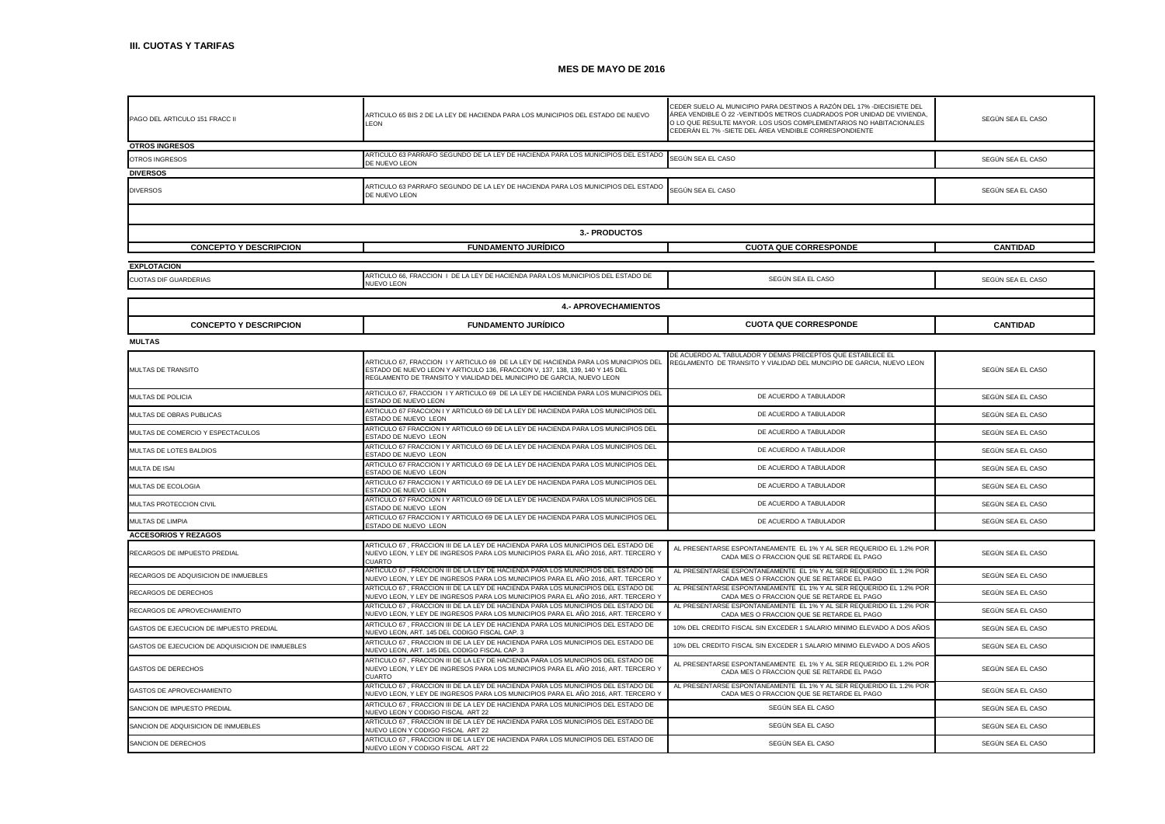| PAGO DEL ARTICULO 151 FRACC II                  | ARTICULO 65 BIS 2 DE LA LEY DE HACIENDA PARA LOS MUNICIPIOS DEL ESTADO DE NUEVO<br><b>LEON</b>                                                                                                                                                | CEDER SUELO AL MUNICIPIO PARA DESTINOS A RAZÓN DEL 17% -DIECISIETE DEL<br>ÁREA VENDIBLE Ó 22 -VEINTIDÓS METROS CUADRADOS POR UNIDAD DE VIVIENDA<br>O LO QUE RESULTE MAYOR. LOS USOS COMPLEMENTARIOS NO HABITACIONALES<br>CEDERÁN EL 7% - SIETE DEL ÁREA VENDIBLE CORRESPONDIENTE | SEGÚN SEA EL CASO |
|-------------------------------------------------|-----------------------------------------------------------------------------------------------------------------------------------------------------------------------------------------------------------------------------------------------|----------------------------------------------------------------------------------------------------------------------------------------------------------------------------------------------------------------------------------------------------------------------------------|-------------------|
| <b>OTROS INGRESOS</b><br>OTROS INGRESOS         | ARTICULO 63 PARRAFO SEGUNDO DE LA LEY DE HACIENDA PARA LOS MUNICIPIOS DEL ESTADO                                                                                                                                                              | SEGÚN SEA EL CASO                                                                                                                                                                                                                                                                | SEGÚN SEA EL CASO |
| <b>DIVERSOS</b>                                 | <b>DE NUEVO LEON</b>                                                                                                                                                                                                                          |                                                                                                                                                                                                                                                                                  |                   |
| <b>DIVERSOS</b>                                 | ARTICULO 63 PARRAFO SEGUNDO DE LA LEY DE HACIENDA PARA LOS MUNICIPIOS DEL ESTADO<br>DE NUEVO LEON                                                                                                                                             | SEGÚN SEA EL CASO                                                                                                                                                                                                                                                                | SEGÚN SEA EL CASO |
|                                                 |                                                                                                                                                                                                                                               |                                                                                                                                                                                                                                                                                  |                   |
|                                                 | 3.- PRODUCTOS                                                                                                                                                                                                                                 |                                                                                                                                                                                                                                                                                  |                   |
| <b>CONCEPTO Y DESCRIPCION</b>                   | <b>FUNDAMENTO JURÍDICO</b>                                                                                                                                                                                                                    | <b>CUOTA QUE CORRESPONDE</b>                                                                                                                                                                                                                                                     | <b>CANTIDAD</b>   |
| <b>EXPLOTACION</b>                              |                                                                                                                                                                                                                                               |                                                                                                                                                                                                                                                                                  |                   |
| <b>CUOTAS DIF GUARDERIAS</b>                    | ARTICULO 66, FRACCION I DE LA LEY DE HACIENDA PARA LOS MUNICIPIOS DEL ESTADO DE<br>NUEVO LEON                                                                                                                                                 | SEGÚN SEA EL CASO                                                                                                                                                                                                                                                                | SEGÚN SEA EL CASO |
|                                                 | <b>4.- APROVECHAMIENTOS</b>                                                                                                                                                                                                                   |                                                                                                                                                                                                                                                                                  |                   |
| <b>CONCEPTO Y DESCRIPCION</b>                   | <b>FUNDAMENTO JURÍDICO</b>                                                                                                                                                                                                                    | <b>CUOTA QUE CORRESPONDE</b>                                                                                                                                                                                                                                                     | <b>CANTIDAD</b>   |
| <b>MULTAS</b>                                   |                                                                                                                                                                                                                                               |                                                                                                                                                                                                                                                                                  |                   |
| MULTAS DE TRANSITO                              | ARTICULO 67, FRACCION I Y ARTICULO 69 DE LA LEY DE HACIENDA PARA LOS MUNICIPIOS DEL<br>ESTADO DE NUEVO LEON Y ARTICULO 136, FRACCION V, 137, 138, 139, 140 Y 145 DEL<br>REGLAMENTO DE TRANSITO Y VIALIDAD DEL MUNICIPIO DE GARCIA, NUEVO LEON | DE ACUERDO AL TABULADOR Y DEMAS PRECEPTOS QUE ESTABLECE EL<br>REGLAMENTO DE TRANSITO Y VIALIDAD DEL MUNCIPIO DE GARCIA, NUEVO LEON                                                                                                                                               | SEGÚN SEA EL CASO |
| MULTAS DE POLICIA                               | ARTICULO 67, FRACCION I Y ARTICULO 69 DE LA LEY DE HACIENDA PARA LOS MUNICIPIOS DEL<br>ESTADO DE NUEVO LEON                                                                                                                                   | DE ACUERDO A TABULADOR                                                                                                                                                                                                                                                           | SEGÚN SEA EL CASO |
| MULTAS DE OBRAS PUBLICAS                        | ARTICULO 67 FRACCION I Y ARTICULO 69 DE LA LEY DE HACIENDA PARA LOS MUNICIPIOS DEL<br><b>ESTADO DE NUEVO LEON</b>                                                                                                                             | DE ACUERDO A TABULADOR                                                                                                                                                                                                                                                           | SEGÚN SEA EL CASO |
| MULTAS DE COMERCIO Y ESPECTACULOS               | ARTICULO 67 FRACCION I Y ARTICULO 69 DE LA LEY DE HACIENDA PARA LOS MUNICIPIOS DEL<br><b>ESTADO DE NUEVO LEON</b>                                                                                                                             | DE ACUERDO A TABULADOR                                                                                                                                                                                                                                                           | SEGÚN SEA EL CASO |
| MULTAS DE LOTES BALDIOS                         | ARTICULO 67 FRACCION I Y ARTICULO 69 DE LA LEY DE HACIENDA PARA LOS MUNICIPIOS DEL<br>ESTADO DE NUEVO LEON                                                                                                                                    | DE ACUERDO A TABULADOR                                                                                                                                                                                                                                                           | SEGÚN SEA EL CASO |
| MULTA DE ISAI                                   | ARTICULO 67 FRACCION I Y ARTICULO 69 DE LA LEY DE HACIENDA PARA LOS MUNICIPIOS DEL<br>ESTADO DE NUEVO LEON                                                                                                                                    | DE ACUERDO A TABULADOR                                                                                                                                                                                                                                                           | SEGÚN SEA EL CASO |
| MULTAS DE ECOLOGIA                              | ARTICULO 67 FRACCION I Y ARTICULO 69 DE LA LEY DE HACIENDA PARA LOS MUNICIPIOS DEL<br>ESTADO DE NUEVO LEON                                                                                                                                    | DE ACUERDO A TABULADOR                                                                                                                                                                                                                                                           | SEGÚN SEA EL CASO |
| MULTAS PROTECCION CIVIL                         | ARTICULO 67 FRACCION I Y ARTICULO 69 DE LA LEY DE HACIENDA PARA LOS MUNICIPIOS DEL<br>ESTADO DE NUEVO LEON                                                                                                                                    | DE ACUERDO A TABULADOR                                                                                                                                                                                                                                                           | SEGÚN SEA EL CASO |
| MULTAS DE LIMPIA                                | ARTICULO 67 FRACCION I Y ARTICULO 69 DE LA LEY DE HACIENDA PARA LOS MUNICIPIOS DEL<br>ESTADO DE NUEVO LEON                                                                                                                                    | DE ACUERDO A TABULADOR                                                                                                                                                                                                                                                           | SEGÚN SEA EL CASO |
| <b>ACCESORIOS Y REZAGOS</b>                     | ARTICULO 67, FRACCION III DE LA LEY DE HACIENDA PARA LOS MUNICIPIOS DEL ESTADO DE                                                                                                                                                             |                                                                                                                                                                                                                                                                                  |                   |
| RECARGOS DE IMPUESTO PREDIAL                    | NUEVO LEON, Y LEY DE INGRESOS PARA LOS MUNICIPIOS PARA EL AÑO 2016, ART. TERCERO Y<br>CUARTO                                                                                                                                                  | AL PRESENTARSE ESPONTANEAMENTE EL 1% Y AL SER REQUERIDO EL 1.2% POR<br>CADA MES O FRACCION QUE SE RETARDE EL PAGO                                                                                                                                                                | SEGÚN SEA EL CASO |
| RECARGOS DE ADQUISICION DE INMUEBLES            | ARTICULO 67 , FRACCION III DE LA LEY DE HACIENDA PARA LOS MUNICIPIOS DEL ESTADO DE<br>NUEVO LEON, Y LEY DE INGRESOS PARA LOS MUNICIPIOS PARA EL AÑO 2016, ART. TERCERO `                                                                      | AL PRESENTARSE ESPONTANEAMENTE EL 1% Y AL SER REQUERIDO EL 1.2% POR<br>CADA MES O FRACCION QUE SE RETARDE EL PAGO                                                                                                                                                                | SEGÚN SEA EL CASO |
| RECARGOS DE DERECHOS                            | ARTICULO 67 , FRACCION III DE LA LEY DE HACIENDA PARA LOS MUNICIPIOS DEL ESTADO DE<br>NUEVO LEON, Y LEY DE INGRESOS PARA LOS MUNICIPIOS PARA EL AÑO 2016, ART. TERCERO Y                                                                      | AL PRESENTARSE ESPONTANEAMENTE EL 1% Y AL SER REQUERIDO EL 1.2% POR<br>CADA MES O FRACCION QUE SE RETARDE EL PAGO                                                                                                                                                                | SEGÚN SEA EL CASO |
| RECARGOS DE APROVECHAMIENTO                     | ARTICULO 67 , FRACCION III DE LA LEY DE HACIENDA PARA LOS MUNICIPIOS DEL ESTADO DE<br>NUEVO LEON, Y LEY DE INGRESOS PARA LOS MUNICIPIOS PARA EL AÑO 2016, ART. TERCERO Y                                                                      | AL PRESENTARSE ESPONTANEAMENTE EL 1% Y AL SER REQUERIDO EL 1.2% POR<br>CADA MES O FRACCION QUE SE RETARDE EL PAGO                                                                                                                                                                | SEGÚN SEA EL CASO |
| GASTOS DE EJECUCION DE IMPUESTO PREDIAL         | ARTICULO 67 , FRACCION III DE LA LEY DE HACIENDA PARA LOS MUNICIPIOS DEL ESTADO DE<br>NUEVO LEON, ART. 145 DEL CODIGO FISCAL CAP. 3                                                                                                           | 10% DEL CREDITO FISCAL SIN EXCEDER 1 SALARIO MINIMO ELEVADO A DOS AÑOS                                                                                                                                                                                                           | SEGÚN SEA EL CASO |
| GASTOS DE EJECUCION DE ADQUISICION DE INMUEBLES | ARTICULO 67, FRACCION III DE LA LEY DE HACIENDA PARA LOS MUNICIPIOS DEL ESTADO DE<br>NUEVO LEON, ART. 145 DEL CODIGO FISCAL CAP. 3                                                                                                            | 10% DEL CREDITO FISCAL SIN EXCEDER 1 SALARIO MINIMO ELEVADO A DOS AÑOS                                                                                                                                                                                                           | SEGÚN SEA EL CASO |
| <b>GASTOS DE DERECHOS</b>                       | ARTICULO 67 , FRACCION III DE LA LEY DE HACIENDA PARA LOS MUNICIPIOS DEL ESTADO DE<br>NUEVO LEON, Y LEY DE INGRESOS PARA LOS MUNICIPIOS PARA EL AÑO 2016, ART. TERCERO Y<br><b>CUARTO</b>                                                     | AL PRESENTARSE ESPONTANEAMENTE EL 1% Y AL SER REQUERIDO EL 1.2% POR<br>CADA MES O FRACCION QUE SE RETARDE EL PAGO                                                                                                                                                                | SEGÚN SEA EL CASO |
| GASTOS DE APROVECHAMIENTO                       | ARTICULO 67, FRACCION III DE LA LEY DE HACIENDA PARA LOS MUNICIPIOS DEL ESTADO DE<br>NUEVO LEON, Y LEY DE INGRESOS PARA LOS MUNICIPIOS PARA EL AÑO 2016, ART. TERCERO Y                                                                       | AL PRESENTARSE ESPONTANEAMENTE EL 1% Y AL SER REQUERIDO EL 1.2% POR<br>CADA MES O FRACCION QUE SE RETARDE EL PAGO                                                                                                                                                                | SEGÚN SEA EL CASO |
| SANCION DE IMPUESTO PREDIAL                     | ARTICULO 67, FRACCION III DE LA LEY DE HACIENDA PARA LOS MUNICIPIOS DEL ESTADO DE<br>NUEVO LEON Y CODIGO FISCAL ART 22                                                                                                                        | SEGÚN SEA EL CASO                                                                                                                                                                                                                                                                | SEGÚN SEA EL CASO |
| SANCION DE ADQUISICION DE INMUEBLES             | ARTICULO 67 , FRACCION III DE LA LEY DE HACIENDA PARA LOS MUNICIPIOS DEL ESTADO DE<br>NUEVO LEON Y CODIGO FISCAL ART 22                                                                                                                       | SEGÚN SEA EL CASO                                                                                                                                                                                                                                                                | SEGÚN SEA EL CASO |
| SANCION DE DERECHOS                             | ARTICULO 67 , FRACCION III DE LA LEY DE HACIENDA PARA LOS MUNICIPIOS DEL ESTADO DE<br>NUEVO LEON Y CODIGO FISCAL ART 22                                                                                                                       | SEGÚN SEA EL CASO                                                                                                                                                                                                                                                                | SEGÚN SEA EL CASO |